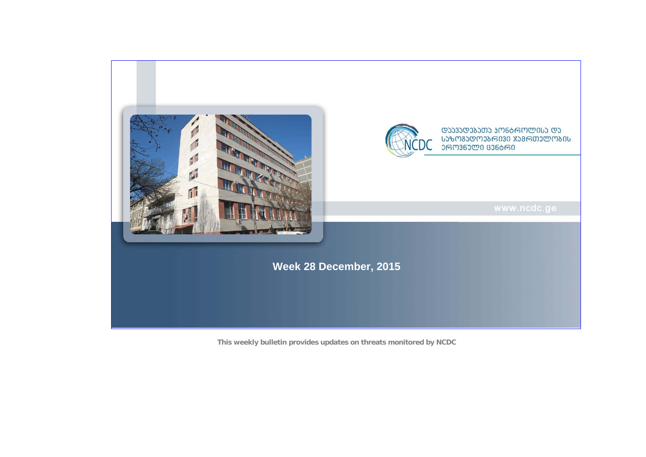

**This weekly bulletin provides updates on threats monitored by NCDC**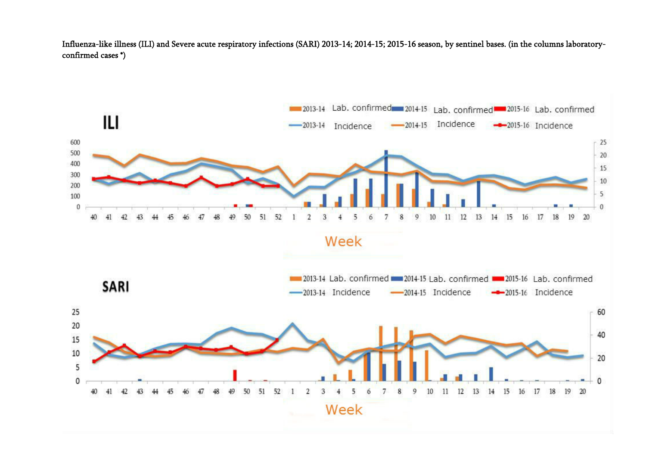Influenza-like illness (ILI) and Severe acute respiratory infections (SARI) 2013-14; 2014-15; 2015-16 season, by sentinel bases. (in the columns laboratoryconfirmed cases \*)

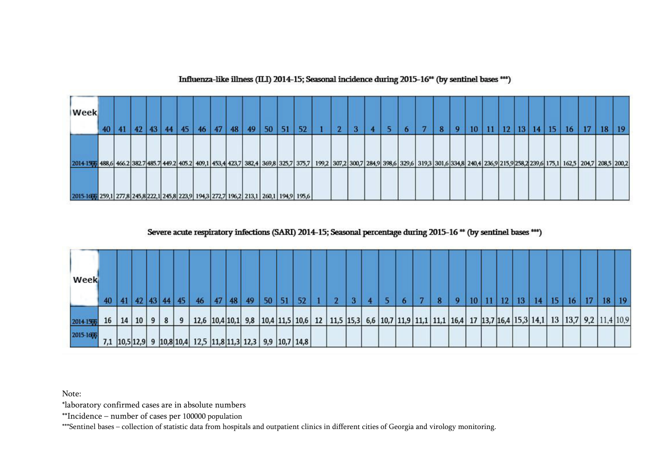## Influenza-like illness (ILI) 2014-15; Seasonal incidence during 2015-16<sup>\*\*</sup> (by sentinel bases \*\*\*)

| Week                                                                                                                                                                                                |  | 42 | 43 <sub>1</sub> | 44 | 45 | 46 <sup>°</sup> | 47 | 48 | 49 | 50 | 52 |  |  |  | ю | o | 10 <sup>°</sup> | 12 | 13 <sup>1</sup> | 14 | 15 | <b>16</b> | 17 | 18 | 19 |
|-----------------------------------------------------------------------------------------------------------------------------------------------------------------------------------------------------|--|----|-----------------|----|----|-----------------|----|----|----|----|----|--|--|--|---|---|-----------------|----|-----------------|----|----|-----------|----|----|----|
| 2014 1586 466.2 382.7 485.7 449.2 405.2 409.1 453,4 423,7 382,4 369,8 325,7 375,7 199,2 307,2 300,7 284,9 398,6 329,6 319,3 301,6 334,8 240,4 236,9 215,9 258,2 239,6 175,1 162,5 204,7 208,5 200,2 |  |    |                 |    |    |                 |    |    |    |    |    |  |  |  |   |   |                 |    |                 |    |    |           |    |    |    |
| 2015-1666 259,1 277,8 245,8 222,1 245,8 223,9 194,3 272,7 196,2 213,1 260,1 194,9 195,6                                                                                                             |  |    |                 |    |    |                 |    |    |    |    |    |  |  |  |   |   |                 |    |                 |    |    |           |    |    |    |

## Severe acute respiratory infections (SARI) 2014-15; Seasonal percentage during 2015-16<sup>\*\*</sup> (by sentinel bases<sup>\*\*\*</sup>)

| Week      | 40 |    | 42     | 43 44 45 |   | 46                                                                     | 47 | 48 | 49 | 50 | 51 | 52 |                                                                                                                          |  |  |  |  | 12. | -13 | 14 | 15 | 16 <sup>1</sup> | 17 | 18 | -19 |
|-----------|----|----|--------|----------|---|------------------------------------------------------------------------|----|----|----|----|----|----|--------------------------------------------------------------------------------------------------------------------------|--|--|--|--|-----|-----|----|----|-----------------|----|----|-----|
| 2014-1577 | 16 | 14 | 10   9 | 8        | 9 |                                                                        |    |    |    |    |    |    | 12,6 10,4 10,1 9,8 10,4 11,5 10,6 12 11,5 15,3 6,6 10,7 11,9 11,1 11,1 16,4 17 13,7 16,4 15,3 14,1 13 13,7 9,2 11,4 10,9 |  |  |  |  |     |     |    |    |                 |    |    |     |
| 2015-1666 |    |    |        |          |   | 7,1  10,5 12,9  9  10,8 10,4  12,5  11,8 11,3  12,3   9,9  10,7   14,8 |    |    |    |    |    |    |                                                                                                                          |  |  |  |  |     |     |    |    |                 |    |    |     |

Note:

\*laboratory confirmed cases are in absolute numbers

\*\*Incidence – number of cases per 100000 population

\*\*\*Sentinel bases – collection of statistic data from hospitals and outpatient clinics in different cities of Georgia and virology monitoring.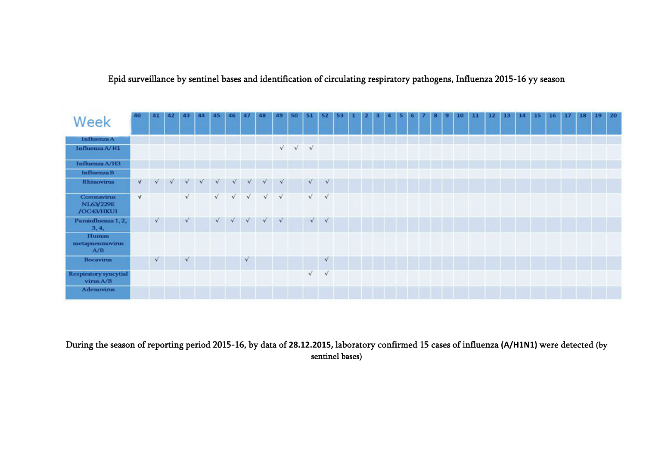Epid surveillance by sentinel bases and identification of circulating respiratory pathogens, Influenza 2015-16 yy season

| Week                                      | 40         | 41         | 42         | 43         | 44 | $ 45\rangle$ | 46         | 47        | 48                                          | 49 | 50         | 51         | 52         |  |  |  |  |  | 10 | м | 12 | 13 <sup>°</sup> | 14 | 15 | 16 17 | 18 | 19 20 |  |
|-------------------------------------------|------------|------------|------------|------------|----|--------------|------------|-----------|---------------------------------------------|----|------------|------------|------------|--|--|--|--|--|----|---|----|-----------------|----|----|-------|----|-------|--|
| Influenza A                               |            |            |            |            |    |              |            |           |                                             |    |            |            |            |  |  |  |  |  |    |   |    |                 |    |    |       |    |       |  |
| Influenza A/H1                            |            |            |            |            |    |              |            |           |                                             |    | $\sqrt{V}$ |            |            |  |  |  |  |  |    |   |    |                 |    |    |       |    |       |  |
| Influenza A/H3                            |            |            |            |            |    |              |            |           |                                             |    |            |            |            |  |  |  |  |  |    |   |    |                 |    |    |       |    |       |  |
| Influenza B                               |            |            |            |            |    |              |            |           |                                             |    |            |            |            |  |  |  |  |  |    |   |    |                 |    |    |       |    |       |  |
| <b>Rhinovirus</b>                         | V          |            | $\sqrt{2}$ |            |    | $\sqrt{2}$   | $\sqrt{2}$ |           | $\sqrt{2}$                                  |    |            | $\sqrt{2}$ | $\sqrt{ }$ |  |  |  |  |  |    |   |    |                 |    |    |       |    |       |  |
| Coronavirus<br>NL63/229E<br>/OC43/HKU1    | $\sqrt{ }$ |            |            | $\sqrt{ }$ |    |              |            |           | $\sqrt{2}$ $\sqrt{2}$ $\sqrt{2}$ $\sqrt{2}$ |    |            |            | $\sqrt{ }$ |  |  |  |  |  |    |   |    |                 |    |    |       |    |       |  |
| Parainfluenza 1, 2,<br>3, 4,              |            | $\sqrt{ }$ |            | $\sqrt{ }$ |    |              |            |           | $\sqrt{2}$ $\sqrt{2}$ $\sqrt{2}$            |    |            |            | $\sqrt{}$  |  |  |  |  |  |    |   |    |                 |    |    |       |    |       |  |
| Human<br>metapneumovirus<br>A/B           |            |            |            |            |    |              |            |           |                                             |    |            |            |            |  |  |  |  |  |    |   |    |                 |    |    |       |    |       |  |
| <b>Bocavirus</b>                          |            | $\sqrt{}$  |            | $\sqrt{ }$ |    |              |            | $\sqrt{}$ |                                             |    |            |            | $\sqrt{ }$ |  |  |  |  |  |    |   |    |                 |    |    |       |    |       |  |
| <b>Respiratory syncytial</b><br>virus A/B |            |            |            |            |    |              |            |           |                                             |    |            | $\sqrt{ }$ | $\sqrt{}$  |  |  |  |  |  |    |   |    |                 |    |    |       |    |       |  |
| <b>Adenovirus</b>                         |            |            |            |            |    |              |            |           |                                             |    |            |            |            |  |  |  |  |  |    |   |    |                 |    |    |       |    |       |  |

During the season of reporting period 2015-16, by data of **28.12.2015,** laboratory confirmed 15 cases of influenza **(A/H1N1)** were detected (by sentinel bases)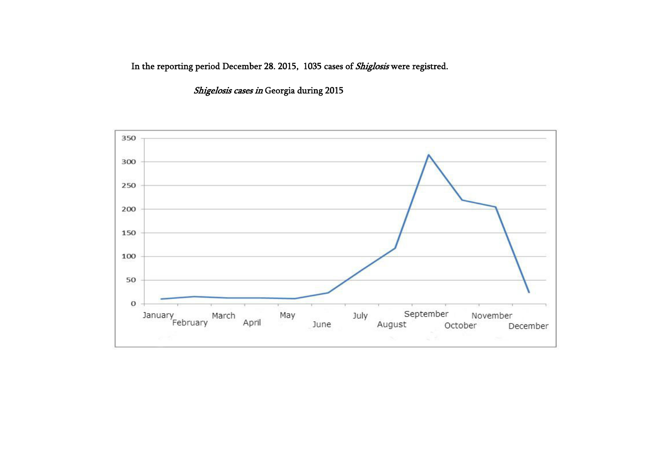In the reporting period December 28. 2015, 1035 cases of *Shiglosis* were registred.

Shigelosis cases in Georgia during 2015